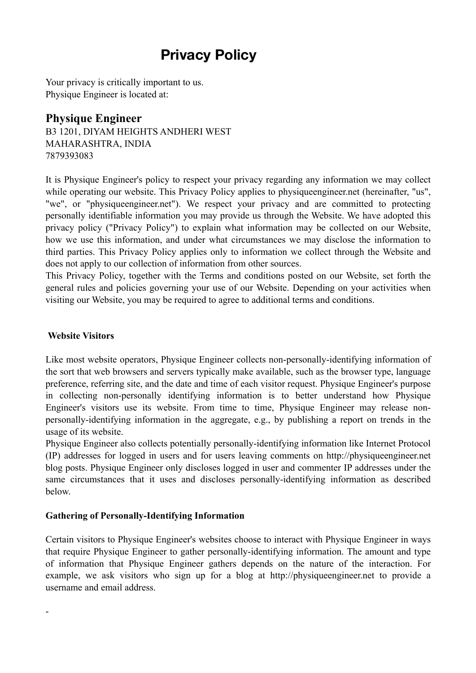# **Privacy Policy**

Your privacy is critically important to us. Physique Engineer is located at:

# **Physique Engineer**

B3 1201, DIYAM HEIGHTS ANDHERI WEST MAHARASHTRA, INDIA 7879393083

It is Physique Engineer's policy to respect your privacy regarding any information we may collect while operating our website. This Privacy Policy applies to physiqueengineer.net (hereinafter, "us", "we", or "physiqueengineer.net"). We respect your privacy and are committed to protecting personally identifiable information you may provide us through the Website. We have adopted this privacy policy ("Privacy Policy") to explain what information may be collected on our Website, how we use this information, and under what circumstances we may disclose the information to third parties. This Privacy Policy applies only to information we collect through the Website and does not apply to our collection of information from other sources.

This Privacy Policy, together with the Terms and conditions posted on our Website, set forth the general rules and policies governing your use of our Website. Depending on your activities when visiting our Website, you may be required to agree to additional terms and conditions.

#### **Website Visitors**

-

Like most website operators, Physique Engineer collects non-personally-identifying information of the sort that web browsers and servers typically make available, such as the browser type, language preference, referring site, and the date and time of each visitor request. Physique Engineer's purpose in collecting non-personally identifying information is to better understand how Physique Engineer's visitors use its website. From time to time, Physique Engineer may release nonpersonally-identifying information in the aggregate, e.g., by publishing a report on trends in the usage of its website.

Physique Engineer also collects potentially personally-identifying information like Internet Protocol (IP) addresses for logged in users and for users leaving comments on http://physiqueengineer.net blog posts. Physique Engineer only discloses logged in user and commenter IP addresses under the same circumstances that it uses and discloses personally-identifying information as described below.

## **Gathering of Personally-Identifying Information**

Certain visitors to Physique Engineer's websites choose to interact with Physique Engineer in ways that require Physique Engineer to gather personally-identifying information. The amount and type of information that Physique Engineer gathers depends on the nature of the interaction. For example, we ask visitors who sign up for a blog at http://physiqueengineer.net to provide a username and email address.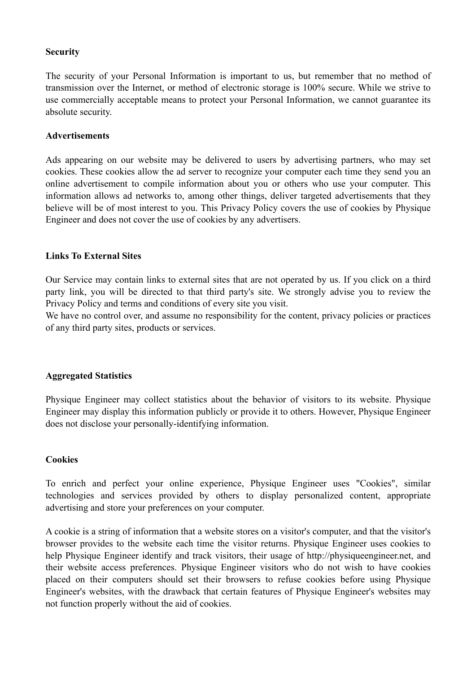#### **Security**

The security of your Personal Information is important to us, but remember that no method of transmission over the Internet, or method of electronic storage is 100% secure. While we strive to use commercially acceptable means to protect your Personal Information, we cannot guarantee its absolute security.

#### **Advertisements**

Ads appearing on our website may be delivered to users by advertising partners, who may set cookies. These cookies allow the ad server to recognize your computer each time they send you an online advertisement to compile information about you or others who use your computer. This information allows ad networks to, among other things, deliver targeted advertisements that they believe will be of most interest to you. This Privacy Policy covers the use of cookies by Physique Engineer and does not cover the use of cookies by any advertisers.

#### **Links To External Sites**

Our Service may contain links to external sites that are not operated by us. If you click on a third party link, you will be directed to that third party's site. We strongly advise you to review the Privacy Policy and terms and conditions of every site you visit.

We have no control over, and assume no responsibility for the content, privacy policies or practices of any third party sites, products or services.

#### **Aggregated Statistics**

Physique Engineer may collect statistics about the behavior of visitors to its website. Physique Engineer may display this information publicly or provide it to others. However, Physique Engineer does not disclose your personally-identifying information.

#### **Cookies**

To enrich and perfect your online experience, Physique Engineer uses "Cookies", similar technologies and services provided by others to display personalized content, appropriate advertising and store your preferences on your computer.

A cookie is a string of information that a website stores on a visitor's computer, and that the visitor's browser provides to the website each time the visitor returns. Physique Engineer uses cookies to help Physique Engineer identify and track visitors, their usage of http://physiqueengineer.net, and their website access preferences. Physique Engineer visitors who do not wish to have cookies placed on their computers should set their browsers to refuse cookies before using Physique Engineer's websites, with the drawback that certain features of Physique Engineer's websites may not function properly without the aid of cookies.